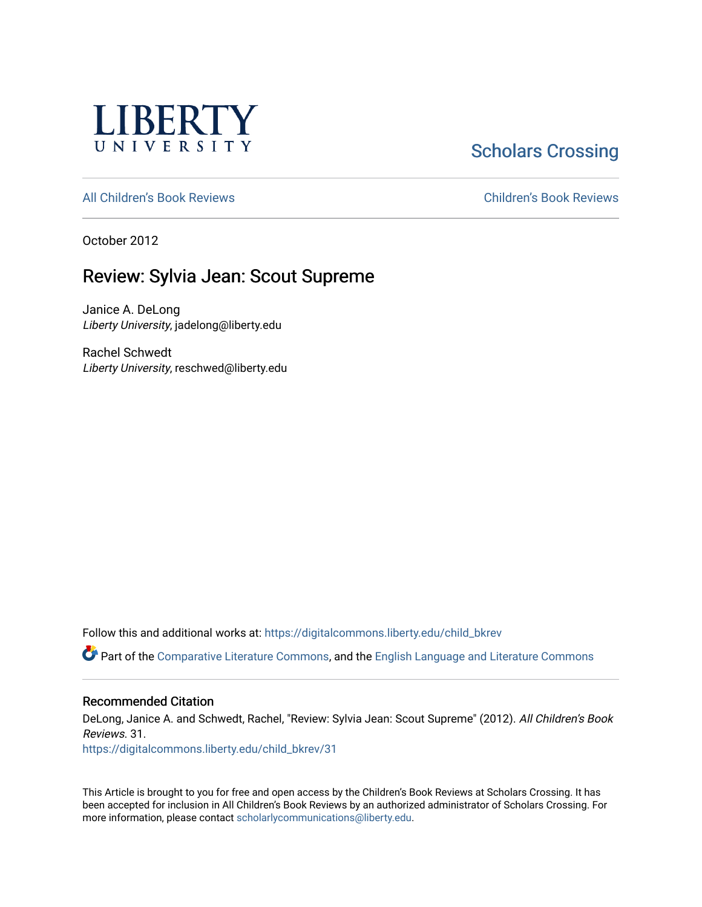

# **Scholars Crossing**

[All Children's Book Reviews](https://digitalcommons.liberty.edu/child_bkrev) **Children's Book Reviews** 

October 2012

# Review: Sylvia Jean: Scout Supreme

Janice A. DeLong Liberty University, jadelong@liberty.edu

Rachel Schwedt Liberty University, reschwed@liberty.edu

Follow this and additional works at: [https://digitalcommons.liberty.edu/child\\_bkrev](https://digitalcommons.liberty.edu/child_bkrev?utm_source=digitalcommons.liberty.edu%2Fchild_bkrev%2F31&utm_medium=PDF&utm_campaign=PDFCoverPages) 

Part of the [Comparative Literature Commons](http://network.bepress.com/hgg/discipline/454?utm_source=digitalcommons.liberty.edu%2Fchild_bkrev%2F31&utm_medium=PDF&utm_campaign=PDFCoverPages), and the [English Language and Literature Commons](http://network.bepress.com/hgg/discipline/455?utm_source=digitalcommons.liberty.edu%2Fchild_bkrev%2F31&utm_medium=PDF&utm_campaign=PDFCoverPages)

#### Recommended Citation

DeLong, Janice A. and Schwedt, Rachel, "Review: Sylvia Jean: Scout Supreme" (2012). All Children's Book Reviews. 31.

[https://digitalcommons.liberty.edu/child\\_bkrev/31](https://digitalcommons.liberty.edu/child_bkrev/31?utm_source=digitalcommons.liberty.edu%2Fchild_bkrev%2F31&utm_medium=PDF&utm_campaign=PDFCoverPages)

This Article is brought to you for free and open access by the Children's Book Reviews at Scholars Crossing. It has been accepted for inclusion in All Children's Book Reviews by an authorized administrator of Scholars Crossing. For more information, please contact [scholarlycommunications@liberty.edu](mailto:scholarlycommunications@liberty.edu).